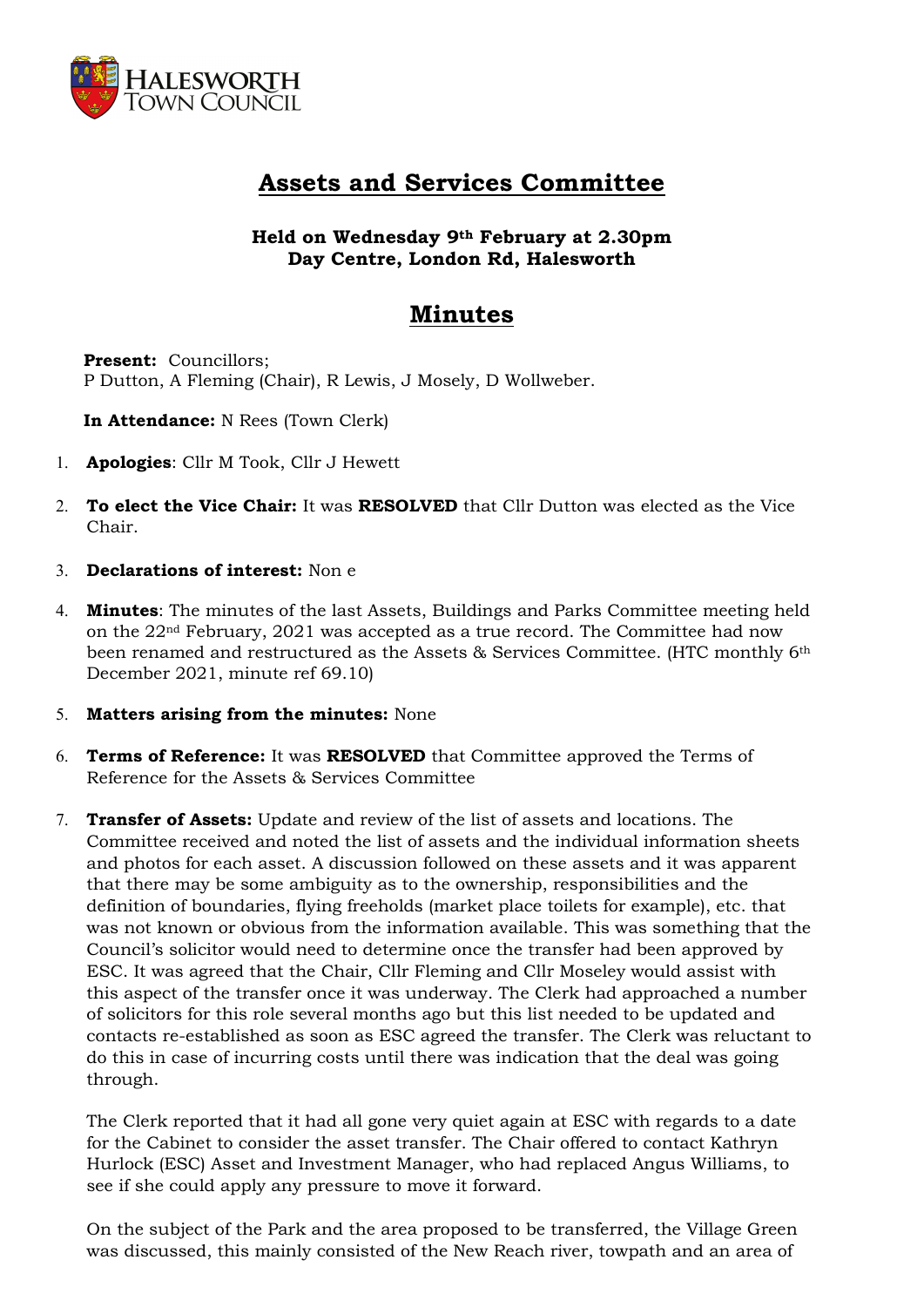

## Assets and Services Committee

Held on Wednesday 9th February at 2.30pm Day Centre, London Rd, Halesworth

## Minutes

Present: Councillors: P Dutton, A Fleming (Chair), R Lewis, J Mosely, D Wollweber.

In Attendance: N Rees (Town Clerk)

- 1. Apologies: Cllr M Took, Cllr J Hewett
- 2. To elect the Vice Chair: It was RESOLVED that Cllr Dutton was elected as the Vice Chair.
- 3. Declarations of interest: Non e
- 4. **Minutes:** The minutes of the last Assets, Buildings and Parks Committee meeting held on the 22nd February, 2021 was accepted as a true record. The Committee had now been renamed and restructured as the Assets & Services Committee. (HTC monthly 6th December 2021, minute ref 69.10)
- 5. Matters arising from the minutes: None
- 6. Terms of Reference: It was RESOLVED that Committee approved the Terms of Reference for the Assets & Services Committee
- 7. Transfer of Assets: Update and review of the list of assets and locations. The Committee received and noted the list of assets and the individual information sheets and photos for each asset. A discussion followed on these assets and it was apparent that there may be some ambiguity as to the ownership, responsibilities and the definition of boundaries, flying freeholds (market place toilets for example), etc. that was not known or obvious from the information available. This was something that the Council's solicitor would need to determine once the transfer had been approved by ESC. It was agreed that the Chair, Cllr Fleming and Cllr Moseley would assist with this aspect of the transfer once it was underway. The Clerk had approached a number of solicitors for this role several months ago but this list needed to be updated and contacts re-established as soon as ESC agreed the transfer. The Clerk was reluctant to do this in case of incurring costs until there was indication that the deal was going through.

The Clerk reported that it had all gone very quiet again at ESC with regards to a date for the Cabinet to consider the asset transfer. The Chair offered to contact Kathryn Hurlock (ESC) Asset and Investment Manager, who had replaced Angus Williams, to see if she could apply any pressure to move it forward.

On the subject of the Park and the area proposed to be transferred, the Village Green was discussed, this mainly consisted of the New Reach river, towpath and an area of